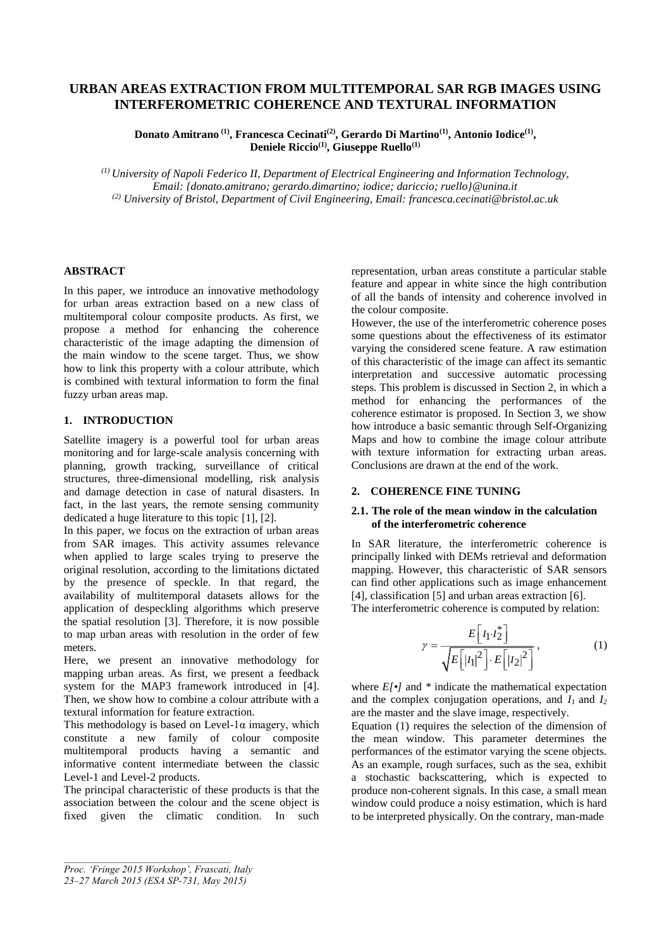# **URBAN AREAS EXTRACTION FROM MULTITEMPORAL SAR RGB IMAGES USING INTERFEROMETRIC COHERENCE AND TEXTURAL INFORMATION**

**Donato Amitrano (1) , Francesca Cecinati(2) , Gerardo Di Martino(1) , Antonio Iodice(1) , Deniele Riccio(1), Giuseppe Ruello(1)**

*(1) University of Napoli Federico II, Department of Electrical Engineering and Information Technology, Email: {donato.amitrano; gerardo.dimartino; iodice; dariccio; ruello}@unina.it (2) University of Bristol, Department of Civil Engineering, Email: francesca.cecinati@bristol.ac.uk* 

## **ABSTRACT**

In this paper, we introduce an innovative methodology for urban areas extraction based on a new class of multitemporal colour composite products. As first, we propose a method for enhancing the coherence characteristic of the image adapting the dimension of the main window to the scene target. Thus, we show how to link this property with a colour attribute, which is combined with textural information to form the final fuzzy urban areas map.

## **1. INTRODUCTION**

Satellite imagery is a powerful tool for urban areas monitoring and for large-scale analysis concerning with planning, growth tracking, surveillance of critical structures, three-dimensional modelling, risk analysis and damage detection in case of natural disasters. In fact, in the last years, the remote sensing community dedicated a huge literature to this topic [1], [2].

In this paper, we focus on the extraction of urban areas from SAR images. This activity assumes relevance when applied to large scales trying to preserve the original resolution, according to the limitations dictated by the presence of speckle. In that regard, the availability of multitemporal datasets allows for the application of despeckling algorithms which preserve the spatial resolution [3]. Therefore, it is now possible to map urban areas with resolution in the order of few meters.

Here, we present an innovative methodology for mapping urban areas. As first, we present a feedback system for the MAP3 framework introduced in [4]. Then, we show how to combine a colour attribute with a textural information for feature extraction.

This methodology is based on Level-1 $\alpha$  imagery, which constitute a new family of colour composite multitemporal products having a semantic and informative content intermediate between the classic Level-1 and Level-2 products.

The principal characteristic of these products is that the association between the colour and the scene object is fixed given the climatic condition. In such

*Proc. 'Fringe 2015 Workshop', Frascati, Italy*

representation, urban areas constitute a particular stable feature and appear in white since the high contribution of all the bands of intensity and coherence involved in the colour composite.

However, the use of the interferometric coherence poses some questions about the effectiveness of its estimator varying the considered scene feature. A raw estimation of this characteristic of the image can affect its semantic interpretation and successive automatic processing steps. This problem is discussed in Section 2, in which a method for enhancing the performances of the coherence estimator is proposed. In Section 3, we show how introduce a basic semantic through Self-Organizing Maps and how to combine the image colour attribute with texture information for extracting urban areas. Conclusions are drawn at the end of the work.

# **2. COHERENCE FINE TUNING**

# **2.1. The role of the mean window in the calculation of the interferometric coherence**

In SAR literature, the interferometric coherence is principally linked with DEMs retrieval and deformation mapping. However, this characteristic of SAR sensors can find other applications such as image enhancement [4], classification [5] and urban areas extraction [6]. The interferometric coherence is computed by relation:

$$
\gamma = \frac{E\left[I_1 I_2^*\right]}{\sqrt{E\left[|I_1|^2\right] \cdot E\left[|I_2|^2\right]}}\,,\tag{1}
$$

where *E[•]* and *\** indicate the mathematical expectation and the complex conjugation operations, and *I1* and *I<sup>2</sup>* are the master and the slave image, respectively.

Equation (1) requires the selection of the dimension of the mean window. This parameter determines the performances of the estimator varying the scene objects. As an example, rough surfaces, such as the sea, exhibit a stochastic backscattering, which is expected to produce non-coherent signals. In this case, a small mean window could produce a noisy estimation, which is hard to be interpreted physically. On the contrary, man-made

*<sup>23–27</sup> March 2015 (ESA SP-731, May 2015)*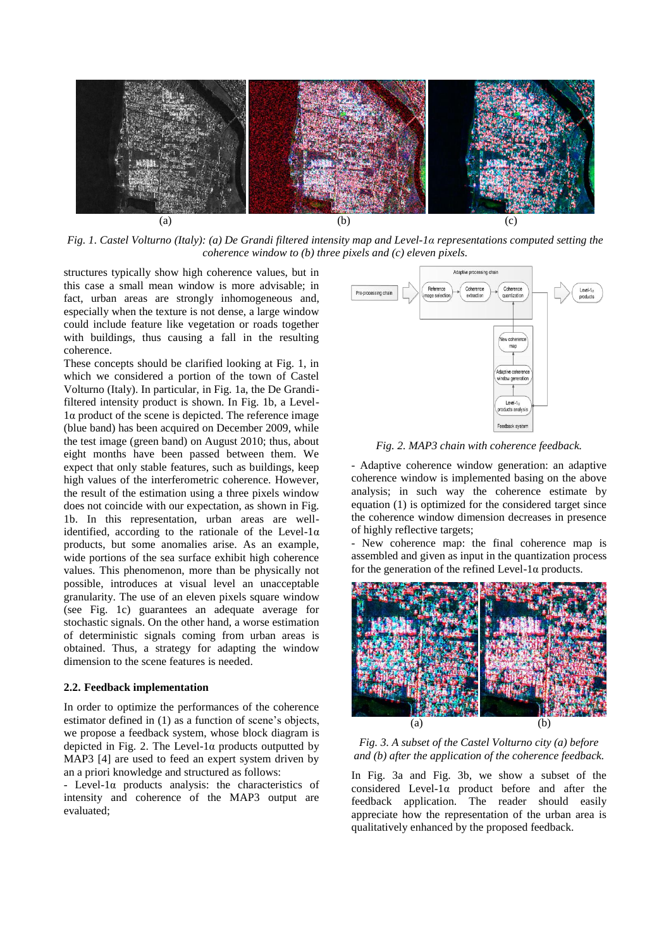

*Fig. 1. Castel Volturno (Italy): (a) De Grandi filtered intensity map and Level-1α representations computed setting the coherence window to (b) three pixels and (c) eleven pixels.*

structures typically show high coherence values, but in this case a small mean window is more advisable; in fact, urban areas are strongly inhomogeneous and, especially when the texture is not dense, a large window could include feature like vegetation or roads together with buildings, thus causing a fall in the resulting coherence.

These concepts should be clarified looking at Fig. 1, in which we considered a portion of the town of Castel Volturno (Italy). In particular, in Fig. 1a, the De Grandifiltered intensity product is shown. In Fig. 1b, a Level-1α product of the scene is depicted. The reference image (blue band) has been acquired on December 2009, while the test image (green band) on August 2010; thus, about eight months have been passed between them. We expect that only stable features, such as buildings, keep high values of the interferometric coherence. However, the result of the estimation using a three pixels window does not coincide with our expectation, as shown in Fig. 1b. In this representation, urban areas are wellidentified, according to the rationale of the Level-1 $\alpha$ products, but some anomalies arise. As an example, wide portions of the sea surface exhibit high coherence values. This phenomenon, more than be physically not possible, introduces at visual level an unacceptable granularity. The use of an eleven pixels square window (see Fig. 1c) guarantees an adequate average for stochastic signals. On the other hand, a worse estimation of deterministic signals coming from urban areas is obtained. Thus, a strategy for adapting the window dimension to the scene features is needed.

#### **2.2. Feedback implementation**

In order to optimize the performances of the coherence estimator defined in (1) as a function of scene's objects, we propose a feedback system, whose block diagram is depicted in Fig. 2. The Level-1 $\alpha$  products outputted by MAP3 [4] are used to feed an expert system driven by an a priori knowledge and structured as follows:

- Level-1α products analysis: the characteristics of intensity and coherence of the MAP3 output are evaluated;



*Fig. 2. MAP3 chain with coherence feedback.*

- Adaptive coherence window generation: an adaptive coherence window is implemented basing on the above analysis; in such way the coherence estimate by equation (1) is optimized for the considered target since the coherence window dimension decreases in presence of highly reflective targets;

- New coherence map: the final coherence map is assembled and given as input in the quantization process for the generation of the refined Level-1 $\alpha$  products.



*Fig. 3. A subset of the Castel Volturno city (a) before and (b) after the application of the coherence feedback.*

In Fig. 3a and Fig. 3b, we show a subset of the considered Level-1α product before and after the feedback application. The reader should easily appreciate how the representation of the urban area is qualitatively enhanced by the proposed feedback.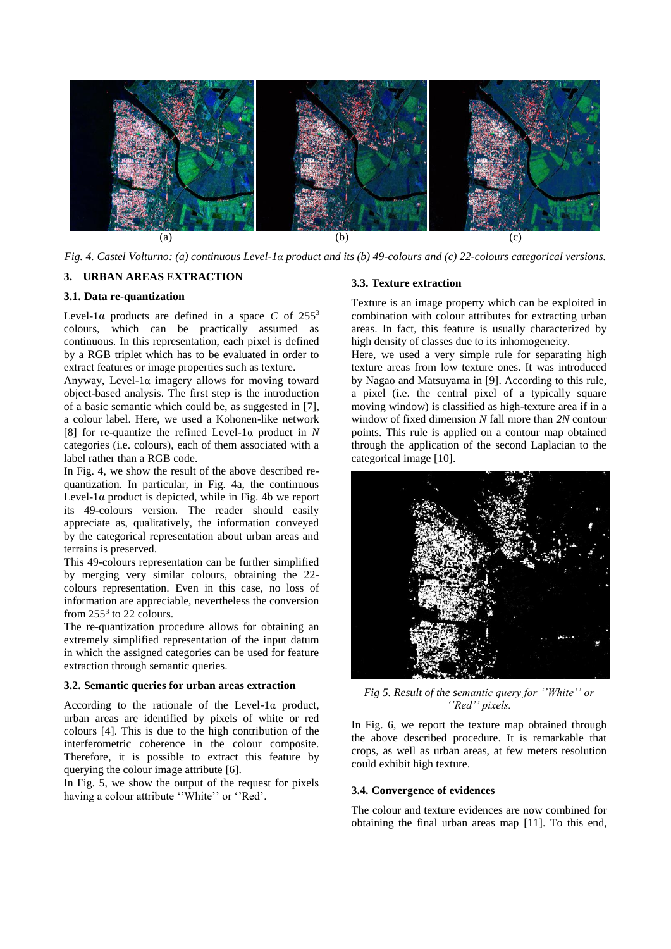

*Fig. 4. Castel Volturno: (a) continuous Level-1α product and its (b) 49-colours and (c) 22-colours categorical versions.*

## **3. URBAN AREAS EXTRACTION**

## **3.1. Data re-quantization**

Level-1 $\alpha$  products are defined in a space *C* of 255<sup>3</sup> colours, which can be practically assumed as continuous. In this representation, each pixel is defined by a RGB triplet which has to be evaluated in order to extract features or image properties such as texture.

Anyway, Level-1α imagery allows for moving toward object-based analysis. The first step is the introduction of a basic semantic which could be, as suggested in [7], a colour label. Here, we used a Kohonen-like network [8] for re-quantize the refined Level-1α product in *N* categories (i.e. colours), each of them associated with a label rather than a RGB code.

In Fig. 4, we show the result of the above described requantization. In particular, in Fig. 4a, the continuous Level-1 $\alpha$  product is depicted, while in Fig. 4b we report its 49-colours version. The reader should easily appreciate as, qualitatively, the information conveyed by the categorical representation about urban areas and terrains is preserved.

This 49-colours representation can be further simplified by merging very similar colours, obtaining the 22 colours representation. Even in this case, no loss of information are appreciable, nevertheless the conversion from  $255^3$  to 22 colours.

The re-quantization procedure allows for obtaining an extremely simplified representation of the input datum in which the assigned categories can be used for feature extraction through semantic queries.

#### **3.2. Semantic queries for urban areas extraction**

According to the rationale of the Level-1α product, urban areas are identified by pixels of white or red colours [4]. This is due to the high contribution of the interferometric coherence in the colour composite. Therefore, it is possible to extract this feature by querying the colour image attribute [6].

In Fig. 5, we show the output of the request for pixels having a colour attribute "White" or "Red'.

#### **3.3. Texture extraction**

Texture is an image property which can be exploited in combination with colour attributes for extracting urban areas. In fact, this feature is usually characterized by high density of classes due to its inhomogeneity.

Here, we used a very simple rule for separating high texture areas from low texture ones. It was introduced by Nagao and Matsuyama in [9]. According to this rule, a pixel (i.e. the central pixel of a typically square moving window) is classified as high-texture area if in a window of fixed dimension *N* fall more than *2N* contour points. This rule is applied on a contour map obtained through the application of the second Laplacian to the categorical image [10].



*Fig 5. Result of the semantic query for ''White'' or ''Red'' pixels.*

In Fig. 6, we report the texture map obtained through the above described procedure. It is remarkable that crops, as well as urban areas, at few meters resolution could exhibit high texture.

## **3.4. Convergence of evidences**

The colour and texture evidences are now combined for obtaining the final urban areas map [11]. To this end,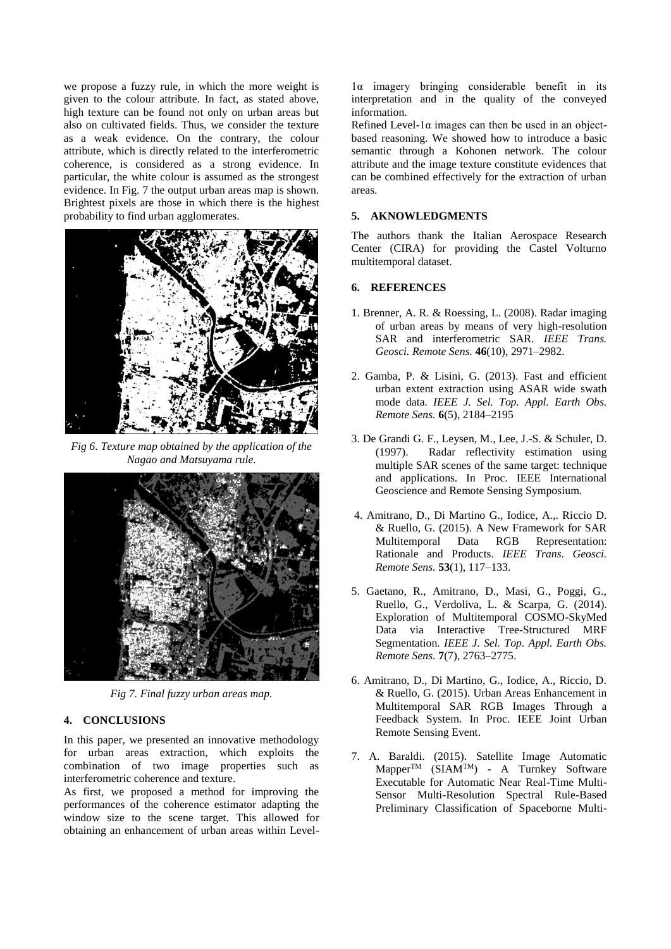we propose a fuzzy rule, in which the more weight is given to the colour attribute. In fact, as stated above, high texture can be found not only on urban areas but also on cultivated fields. Thus, we consider the texture as a weak evidence. On the contrary, the colour attribute, which is directly related to the interferometric coherence, is considered as a strong evidence. In particular, the white colour is assumed as the strongest evidence. In Fig. 7 the output urban areas map is shown. Brightest pixels are those in which there is the highest probability to find urban agglomerates.



*Fig 6. Texture map obtained by the application of the Nagao and Matsuyama rule.*



*Fig 7. Final fuzzy urban areas map.*

## **4. CONCLUSIONS**

In this paper, we presented an innovative methodology for urban areas extraction, which exploits the combination of two image properties such as interferometric coherence and texture.

As first, we proposed a method for improving the performances of the coherence estimator adapting the window size to the scene target. This allowed for obtaining an enhancement of urban areas within Level-

1α imagery bringing considerable benefit in its interpretation and in the quality of the conveyed information.

Refined Level-1 $\alpha$  images can then be used in an objectbased reasoning. We showed how to introduce a basic semantic through a Kohonen network. The colour attribute and the image texture constitute evidences that can be combined effectively for the extraction of urban areas.

## **5. AKNOWLEDGMENTS**

The authors thank the Italian Aerospace Research Center (CIRA) for providing the Castel Volturno multitemporal dataset.

## **6. REFERENCES**

- 1. Brenner, A. R. & Roessing, L. (2008). Radar imaging of urban areas by means of very high-resolution SAR and interferometric SAR. *IEEE Trans. Geosci. Remote Sens.* **46**(10), 2971–2982.
- 2. Gamba, P. & Lisini, G. (2013). Fast and efficient urban extent extraction using ASAR wide swath mode data. *IEEE J. Sel. Top. Appl. Earth Obs. Remote Sens.* **6**(5), 2184–2195
- 3. De Grandi G. F., Leysen, M., Lee, J.-S. & Schuler, D. (1997). Radar reflectivity estimation using multiple SAR scenes of the same target: technique and applications. In Proc. IEEE International Geoscience and Remote Sensing Symposium.
- 4. Amitrano, D., Di Martino G., Iodice, A.,. Riccio D. & Ruello, G. (2015). A New Framework for SAR Multitemporal Data RGB Representation: Rationale and Products. *IEEE Trans. Geosci. Remote Sens.* **53**(1), 117–133.
- 5. Gaetano, R., Amitrano, D., Masi, G., Poggi, G., Ruello, G., Verdoliva, L. & Scarpa, G. (2014). Exploration of Multitemporal COSMO-SkyMed Data via Interactive Tree-Structured MRF Segmentation. *IEEE J. Sel. Top. Appl. Earth Obs. Remote Sens.* **7**(7), 2763–2775.
- 6. Amitrano, D., Di Martino, G., Iodice, A., Riccio, D. & Ruello, G. (2015). Urban Areas Enhancement in Multitemporal SAR RGB Images Through a Feedback System. In Proc. IEEE Joint Urban Remote Sensing Event.
- 7. A. Baraldi. (2015). Satellite Image Automatic  $\text{Mapper}^{\text{TM}}$  (SIAM<sup>TM</sup>) - A Turnkey Software Executable for Automatic Near Real-Time Multi-Sensor Multi-Resolution Spectral Rule-Based Preliminary Classification of Spaceborne Multi-